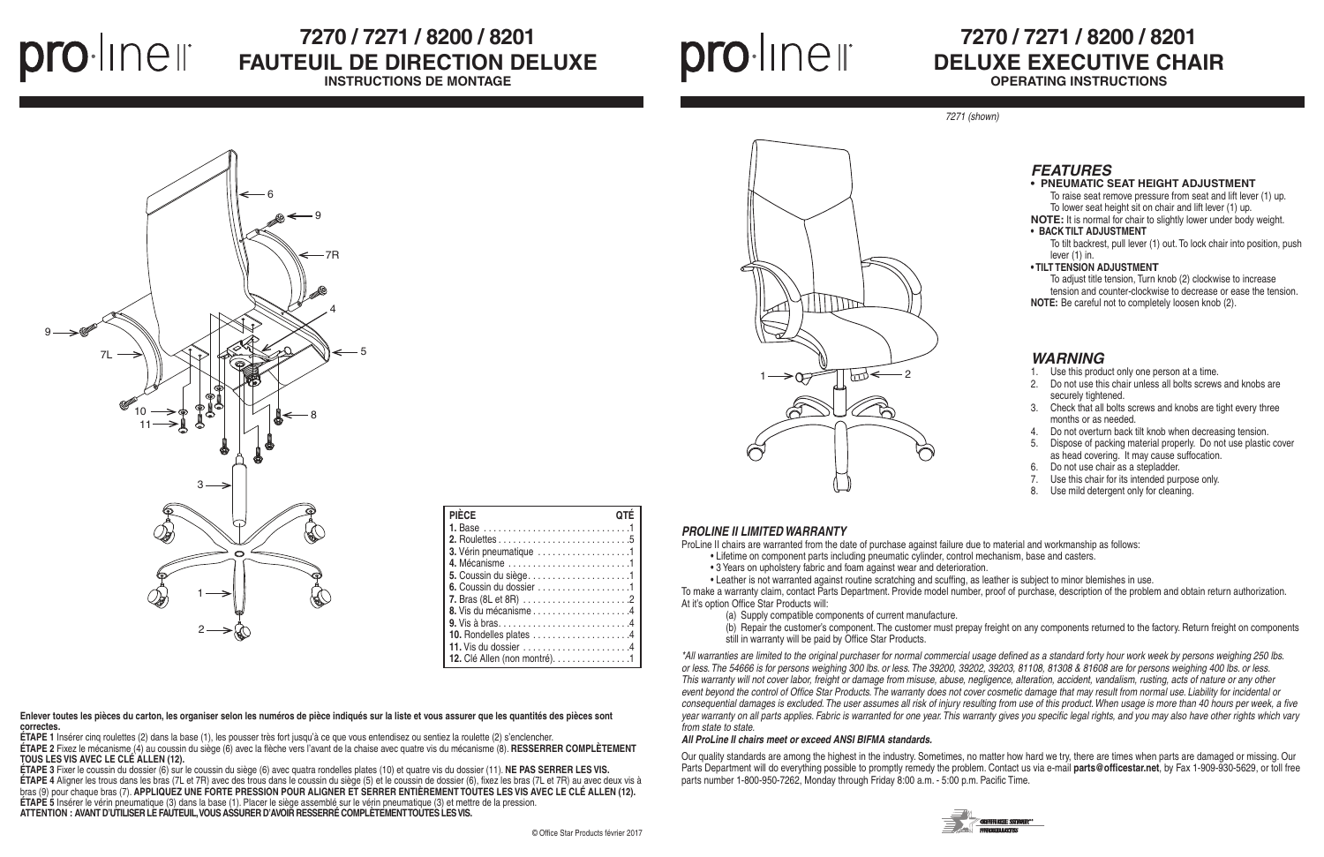## **7270 / 7271 / 8200 / 8201 DELUXE EXECUTIVE CHAIR OPERATING INSTRUCTIONS**

### *PROLINE II LIMITED WARRANTY*

ProLine II chairs are warranted from the date of purchase against failure due to material and workmanship as follows:

- Lifetime on component parts including pneumatic cylinder, control mechanism, base and casters.
- 3 Years on upholstery fabric and foam against wear and deterioration.

• Leather is not warranted against routine scratching and scuffing, as leather is subject to minor blemishes in use. To make a warranty claim, contact Parts Department. Provide model number, proof of purchase, description of the problem and obtain return authorization. At it's option Office Star Products will:

- (a) Supply compatible components of current manufacture.
- 
- still in warranty will be paid by Office Star Products.

(b) Repair the customer's component. The customer must prepay freight on any components returned to the factory. Return freight on components



*\*All warranties are limited to the original purchaser for normal commercial usage defined as a standard forty hour work week by persons weighing 250 lbs. or less. The 54666 is for persons weighing 300 lbs. or less. The 39200, 39202, 39203, 81108, 81308 & 81608 are for persons weighing 400 lbs. or less. This warranty will not cover labor, freight or damage from misuse, abuse, negligence, alteration, accident, vandalism, rusting, acts of nature or any other event beyond the control of Office Star Products. The warranty does not cover cosmetic damage that may result from normal use. Liability for incidental or consequential damages is excluded. The user assumes all risk of injury resulting from use of this product. When usage is more than 40 hours per week, a five year warranty on all parts applies. Fabric is warranted for one year. This warranty gives you specific legal rights, and you may also have other rights which vary from state to state.*

prolinell

# **7270 / 7271 / 8200 / 8201** FAUTEUIL DE DIRECTION DELUXE

#### *All ProLine II chairs meet or exceed ANSI BIFMA standards.*

Our quality standards are among the highest in the industry. Sometimes, no matter how hard we try, there are times when parts are damaged or missing. Our Parts Department will do everything possible to promptly remedy the problem. Contact us via e-mail **parts@officestar.net**, by Fax 1-909-930-5629, or toll free parts number 1-800-950-7262, Monday through Friday 8:00 a.m. - 5:00 p.m. Pacific Time.





### *WARNING*

- 1. Use this product only one person at a time.
- 2. Do not use this chair unless all bolts screws and knobs are securely tightened.
- 3. Check that all bolts screws and knobs are tight every three months or as needed.
- 4. Do not overturn back tilt knob when decreasing tension.
- 5. Dispose of packing material properly. Do not use plastic cover as head covering. It may cause suffocation.
- 6. Do not use chair as a stepladder.
- 7. Use this chair for its intended purpose only.
- 8. Use mild detergent only for cleaning.

*7271 (shown)*



### **• PNEUMATIC SEAT HEIGHT ADJUSTMENT**

To raise seat remove pressure from seat and lift lever (1) up. To lower seat height sit on chair and lift lever (1) up.

**NOTE:** It is normal for chair to slightly lower under body weight. **• BACK TILT ADJUSTMENT**

To tilt backrest, pull lever (1) out. To lock chair into position, push lever (1) in.

#### **• TILT TENSION ADJUSTMENT**

To adjust title tension, Turn knob (2) clockwise to increase tension and counter-clockwise to decrease or ease the tension. **NOTE:** Be careful not to completely loosen knob (2).

**INSTRUCTIONS DE MONTAGE**



| <b>PIÈCE</b>                  |  |
|-------------------------------|--|
|                               |  |
|                               |  |
| 3. Vérin pneumatique 1        |  |
|                               |  |
|                               |  |
| 6. Coussin du dossier 1       |  |
|                               |  |
|                               |  |
|                               |  |
|                               |  |
|                               |  |
| 12. Clé Allen (non montré). 1 |  |



**Enlever toutes les pièces du carton, les organiser selon les numéros de pièce indiqués sur la liste et vous assurer que les quantités des pièces sont correctes.**

**ÉTAPE 1** Insérer cinq roulettes (2) dans la base (1), les pousser très fort jusqu'à ce que vous entendisez ou sentiez la roulette (2) s'enclencher.

**ÉTAPE 2** Fixez le mécanisme (4) au coussin du siège (6) avec la flèche vers l'avant de la chaise avec quatre vis du mécanisme (8). **RESSERRER COMPLÈTEMENT TOUS LES VIS AVEC LE CLÉ ALLEN (12).**

**ÉTAPE 3** Fixer le coussin du dossier (6) sur le coussin du siège (6) avec quatra rondelles plates (10) et quatre vis du dossier (11). **NE PAS SERRER LES VIS. ÉTAPE 4** Aligner les trous dans les bras (7L et 7R) avec des trous dans le coussin du siège (5) et le coussin de dossier (6), fixez les bras (7L et 7R) au avec deux vis à bras (9) pour chaque bras (7). **APPLIQUEZ UNE FORTE PRESSION POUR ALIGNER ET SERRER ENTIÈREMENT TOUTES LES VIS AVEC LE CLÉ ALLEN (12). ÉTAPE 5** Insérer le vérin pneumatique (3) dans la base (1). Placer le siège assemblé sur le vérin pneumatique (3) et mettre de la pression. **ATTENTION : AVANT D'UTILISER LE FAUTEUIL, VOUS ASSURER D'AVOIR RESSERRÉ COMPLÈTEMENT TOUTES LES VIS.**